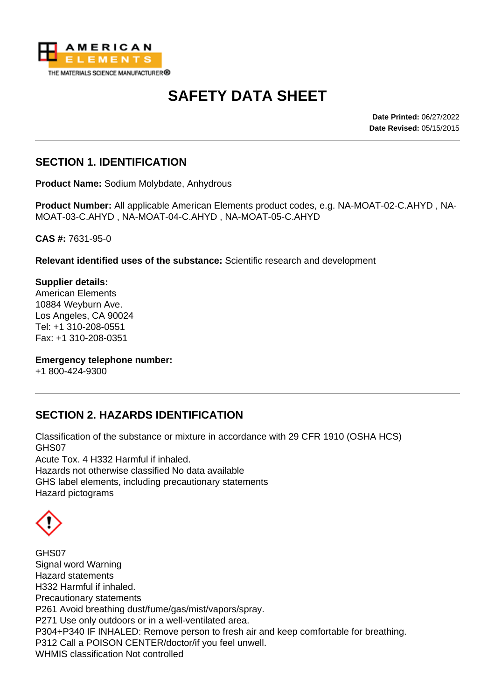

# **SAFETY DATA SHEET**

**Date Printed:** 06/27/2022 **Date Revised:** 05/15/2015

#### **SECTION 1. IDENTIFICATION**

**Product Name:** Sodium Molybdate, Anhydrous

**Product Number:** All applicable American Elements product codes, e.g. NA-MOAT-02-C.AHYD , NA-MOAT-03-C.AHYD , NA-MOAT-04-C.AHYD , NA-MOAT-05-C.AHYD

**CAS #:** 7631-95-0

**Relevant identified uses of the substance:** Scientific research and development

**Supplier details:** American Elements 10884 Weyburn Ave. Los Angeles, CA 90024 Tel: +1 310-208-0551 Fax: +1 310-208-0351

**Emergency telephone number:**

+1 800-424-9300

## **SECTION 2. HAZARDS IDENTIFICATION**

Classification of the substance or mixture in accordance with 29 CFR 1910 (OSHA HCS) GHS07 Acute Tox. 4 H332 Harmful if inhaled. Hazards not otherwise classified No data available GHS label elements, including precautionary statements Hazard pictograms

GHS07 Signal word Warning Hazard statements H332 Harmful if inhaled. Precautionary statements P261 Avoid breathing dust/fume/gas/mist/vapors/spray. P271 Use only outdoors or in a well-ventilated area. P304+P340 IF INHALED: Remove person to fresh air and keep comfortable for breathing. P312 Call a POISON CENTER/doctor/if you feel unwell. WHMIS classification Not controlled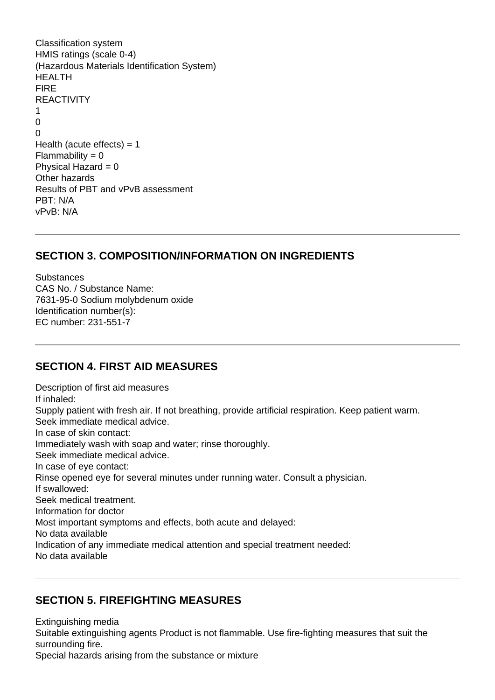Classification system HMIS ratings (scale 0-4) (Hazardous Materials Identification System) HEALTH FIRE REACTIVITY 1  $\Omega$  $\Omega$ Health (acute effects)  $= 1$  $Flammability = 0$ Physical Hazard  $= 0$ Other hazards Results of PBT and vPvB assessment PBT: N/A vPvB: N/A

#### **SECTION 3. COMPOSITION/INFORMATION ON INGREDIENTS**

**Substances** CAS No. / Substance Name: 7631-95-0 Sodium molybdenum oxide Identification number(s): EC number: 231-551-7

#### **SECTION 4. FIRST AID MEASURES**

Description of first aid measures If inhaled: Supply patient with fresh air. If not breathing, provide artificial respiration. Keep patient warm. Seek immediate medical advice. In case of skin contact: Immediately wash with soap and water; rinse thoroughly. Seek immediate medical advice. In case of eye contact: Rinse opened eye for several minutes under running water. Consult a physician. If swallowed: Seek medical treatment. Information for doctor Most important symptoms and effects, both acute and delayed: No data available Indication of any immediate medical attention and special treatment needed: No data available

#### **SECTION 5. FIREFIGHTING MEASURES**

Extinguishing media

Suitable extinguishing agents Product is not flammable. Use fire-fighting measures that suit the surrounding fire.

Special hazards arising from the substance or mixture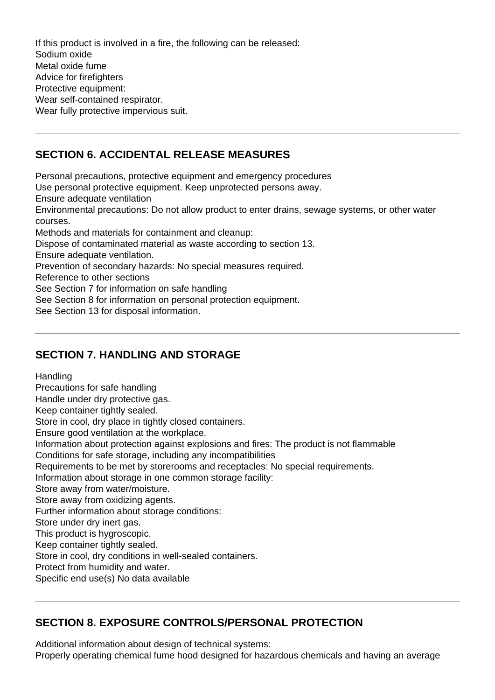If this product is involved in a fire, the following can be released: Sodium oxide Metal oxide fume Advice for firefighters Protective equipment: Wear self-contained respirator. Wear fully protective impervious suit.

## **SECTION 6. ACCIDENTAL RELEASE MEASURES**

Personal precautions, protective equipment and emergency procedures

Use personal protective equipment. Keep unprotected persons away.

Ensure adequate ventilation

Environmental precautions: Do not allow product to enter drains, sewage systems, or other water courses.

Methods and materials for containment and cleanup:

Dispose of contaminated material as waste according to section 13.

Ensure adequate ventilation.

Prevention of secondary hazards: No special measures required.

Reference to other sections

See Section 7 for information on safe handling

See Section 8 for information on personal protection equipment.

See Section 13 for disposal information.

## **SECTION 7. HANDLING AND STORAGE**

**Handling** 

Precautions for safe handling

Handle under dry protective gas.

Keep container tightly sealed.

Store in cool, dry place in tightly closed containers.

Ensure good ventilation at the workplace.

Information about protection against explosions and fires: The product is not flammable

Conditions for safe storage, including any incompatibilities

Requirements to be met by storerooms and receptacles: No special requirements.

Information about storage in one common storage facility:

Store away from water/moisture.

Store away from oxidizing agents.

Further information about storage conditions:

Store under dry inert gas.

This product is hygroscopic.

Keep container tightly sealed.

Store in cool, dry conditions in well-sealed containers.

Protect from humidity and water.

Specific end use(s) No data available

# **SECTION 8. EXPOSURE CONTROLS/PERSONAL PROTECTION**

Additional information about design of technical systems:

Properly operating chemical fume hood designed for hazardous chemicals and having an average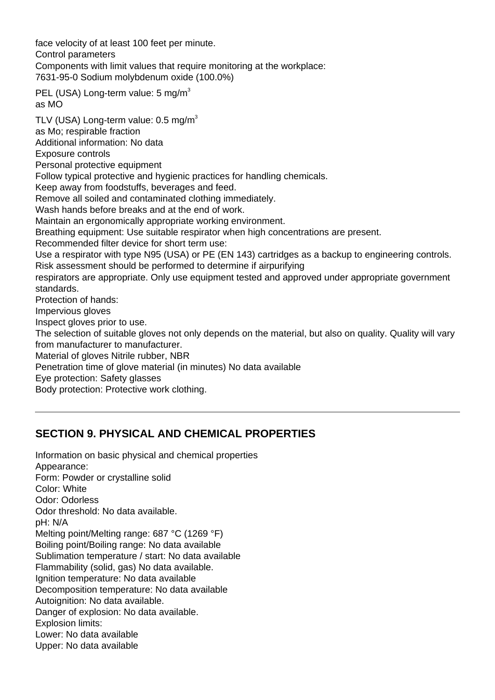face velocity of at least 100 feet per minute. Control parameters Components with limit values that require monitoring at the workplace: 7631-95-0 Sodium molybdenum oxide (100.0%) PEL (USA) Long-term value: 5 mg/m<sup>3</sup> as MO TLV (USA) Long-term value:  $0.5 \text{ mg/m}^3$ as Mo; respirable fraction Additional information: No data Exposure controls Personal protective equipment Follow typical protective and hygienic practices for handling chemicals. Keep away from foodstuffs, beverages and feed. Remove all soiled and contaminated clothing immediately. Wash hands before breaks and at the end of work. Maintain an ergonomically appropriate working environment. Breathing equipment: Use suitable respirator when high concentrations are present. Recommended filter device for short term use: Use a respirator with type N95 (USA) or PE (EN 143) cartridges as a backup to engineering controls. Risk assessment should be performed to determine if airpurifying respirators are appropriate. Only use equipment tested and approved under appropriate government standards. Protection of hands: Impervious gloves Inspect gloves prior to use. The selection of suitable gloves not only depends on the material, but also on quality. Quality will vary from manufacturer to manufacturer. Material of gloves Nitrile rubber, NBR Penetration time of glove material (in minutes) No data available Eye protection: Safety glasses Body protection: Protective work clothing.

## **SECTION 9. PHYSICAL AND CHEMICAL PROPERTIES**

Information on basic physical and chemical properties Appearance: Form: Powder or crystalline solid Color: White Odor: Odorless Odor threshold: No data available. pH: N/A Melting point/Melting range: 687 °C (1269 °F) Boiling point/Boiling range: No data available Sublimation temperature / start: No data available Flammability (solid, gas) No data available. Ignition temperature: No data available Decomposition temperature: No data available Autoignition: No data available. Danger of explosion: No data available. Explosion limits: Lower: No data available Upper: No data available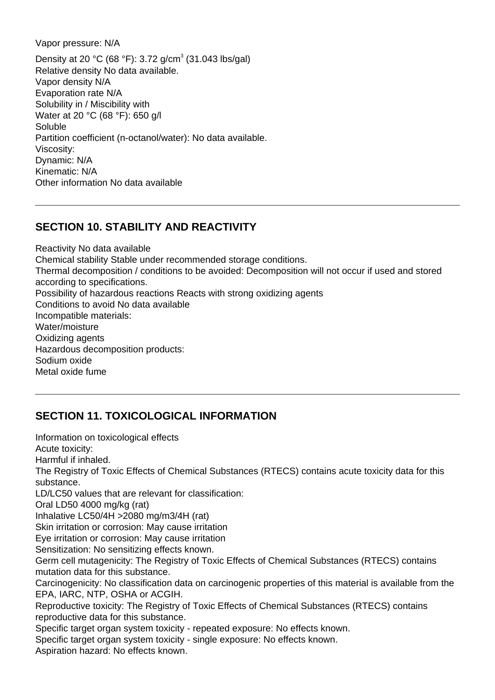Vapor pressure: N/A

Density at 20 °C (68 °F): 3.72 g/cm<sup>3</sup> (31.043 lbs/gal) Relative density No data available. Vapor density N/A Evaporation rate N/A Solubility in / Miscibility with Water at 20 °C (68 °F): 650 g/l Soluble Partition coefficient (n-octanol/water): No data available. Viscosity: Dynamic: N/A Kinematic: N/A Other information No data available

#### **SECTION 10. STABILITY AND REACTIVITY**

Reactivity No data available Chemical stability Stable under recommended storage conditions. Thermal decomposition / conditions to be avoided: Decomposition will not occur if used and stored according to specifications. Possibility of hazardous reactions Reacts with strong oxidizing agents Conditions to avoid No data available Incompatible materials: Water/moisture Oxidizing agents Hazardous decomposition products: Sodium oxide Metal oxide fume

## **SECTION 11. TOXICOLOGICAL INFORMATION**

Information on toxicological effects Acute toxicity: Harmful if inhaled. The Registry of Toxic Effects of Chemical Substances (RTECS) contains acute toxicity data for this substance. LD/LC50 values that are relevant for classification: Oral LD50 4000 mg/kg (rat) Inhalative LC50/4H >2080 mg/m3/4H (rat) Skin irritation or corrosion: May cause irritation Eye irritation or corrosion: May cause irritation Sensitization: No sensitizing effects known. Germ cell mutagenicity: The Registry of Toxic Effects of Chemical Substances (RTECS) contains mutation data for this substance. Carcinogenicity: No classification data on carcinogenic properties of this material is available from the EPA, IARC, NTP, OSHA or ACGIH. Reproductive toxicity: The Registry of Toxic Effects of Chemical Substances (RTECS) contains reproductive data for this substance. Specific target organ system toxicity - repeated exposure: No effects known. Specific target organ system toxicity - single exposure: No effects known. Aspiration hazard: No effects known.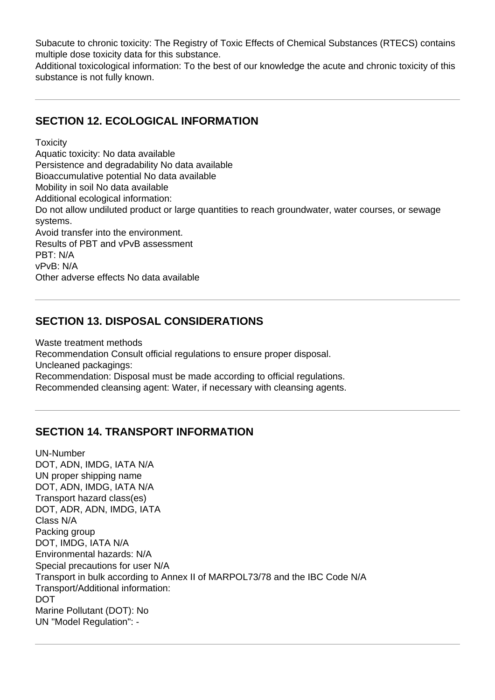Subacute to chronic toxicity: The Registry of Toxic Effects of Chemical Substances (RTECS) contains multiple dose toxicity data for this substance.

Additional toxicological information: To the best of our knowledge the acute and chronic toxicity of this substance is not fully known.

#### **SECTION 12. ECOLOGICAL INFORMATION**

**Toxicity** 

Aquatic toxicity: No data available Persistence and degradability No data available Bioaccumulative potential No data available Mobility in soil No data available Additional ecological information: Do not allow undiluted product or large quantities to reach groundwater, water courses, or sewage systems. Avoid transfer into the environment. Results of PBT and vPvB assessment PBT: N/A vPvB: N/A Other adverse effects No data available

#### **SECTION 13. DISPOSAL CONSIDERATIONS**

Waste treatment methods Recommendation Consult official regulations to ensure proper disposal. Uncleaned packagings: Recommendation: Disposal must be made according to official regulations. Recommended cleansing agent: Water, if necessary with cleansing agents.

#### **SECTION 14. TRANSPORT INFORMATION**

UN-Number DOT, ADN, IMDG, IATA N/A UN proper shipping name DOT, ADN, IMDG, IATA N/A Transport hazard class(es) DOT, ADR, ADN, IMDG, IATA Class N/A Packing group DOT, IMDG, IATA N/A Environmental hazards: N/A Special precautions for user N/A Transport in bulk according to Annex II of MARPOL73/78 and the IBC Code N/A Transport/Additional information: DOT Marine Pollutant (DOT): No UN "Model Regulation": -